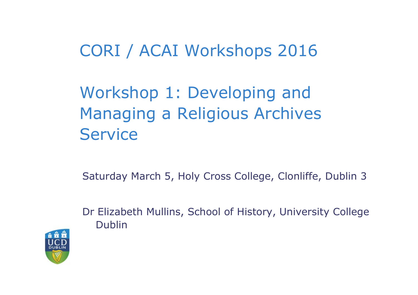CORI / ACAI Workshops 2016

Workshop 1: Developing and Managing a Religious Archives **Service** Workshop 1: Developing and<br>Managing a Religious Archives<br>Service<br>Saturday March 5, Holy Cross College, Clonliffe, Dublin 3<br>Dr Elizabeth Mullins, School of History, University College<br>Dublin

Saturday March 5, Holy Cross College, Clonliffe, Dublin 3



Dublin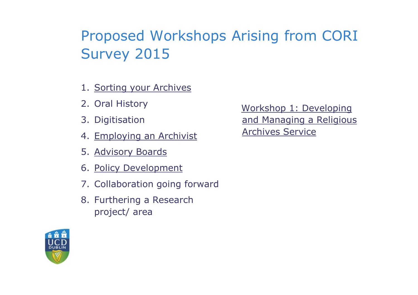## Proposed Workshops Arising from CORI Survey 2015 Proposed Workshops Arisin<br>
Survey 2015<br>
1. <u>Sorting your Archives</u><br>
2. Oral History<br>
2. Digitication Proposed Workshops Aris<br>
Survey 2015<br>
1. <u>Sorting your Archives</u><br>
2. Oral History (Workshops Archives)<br>
2. Oral History (Workshops Archives) Proposed Workshops Aris<br>
Survey 2015<br>
1. <u>Sorting your Archives</u><br>
2. Oral History<br>
3. Digitisation and anchivist<br>
4. Employing an Archivist Archives Proposed Workshops Aris<br>
Survey 2015<br>
1. <u>Sorting your Archives</u><br>
2. Oral History<br>
3. Digitisation and<br>
4. <u>Employing an Archivist</u><br>
5. <u>Advisory Boards</u><br>
6. Palia: Pauslamment Proposed Workshops Aris<br>
Survey 2015<br>
1. <u>Sorting your Archives</u><br>
2. Oral History <u>Work</u><br>
3. Digitisation and Archivist<br>
4. <u>Employing an Archivist Archives</u><br>
5. <u>Advisory Boards</u><br>
6. <u>Policy Development</u> 1. Survey 2015<br>
1. Sorting your Archives<br>
2. Oral History Mol<br>
3. Digitisation and Mol<br>
4. Employing an Archivist Archives<br>
5. Advisory Boards<br>
6. <u>Policy Development</u><br>
7. Collaboration going forward<br>
8. Furthering a Boara

- 
- 
- 
- 
- 
- 
- 
- 1. <u>Sorting your Archives</u><br>
2. Oral History<br>
3. Digitisation and and<br>
4. <u>Employing an Archivist Arc</u><br>
5. <u>Advisory Boards</u><br>
6. <u>Policy Development</u><br>
7. Collaboration going forward<br>
8. Furthering a Research<br>
project/ area project/ area

**300 Vey 2013**<br>
1. <u>Sorting your Archives</u><br>
2. Oral History (Workshop 1: De<br>
3. Digitisation and Managing a<br>
4. <u>Employing an Archivist</u> (Archives Service<br>
5. <u>Advisory Boards</u><br>
6. <u>Policy Development</u><br>
7. Collaboration go Workshop 1: Developing and Managing a Religious Archives Service

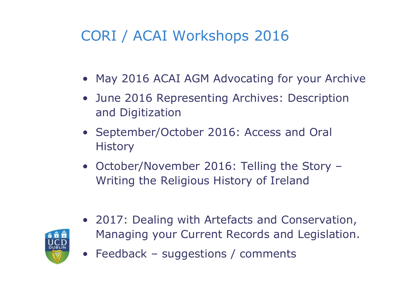#### CORI / ACAI Workshops 2016

- 
- CORI / ACAI Workshops 2016<br>• May 2016 ACAI AGM Advocating for your Archive<br>• June 2016 Representing Archives: Description CORI / ACAI Workshops 2016<br>• May 2016 ACAI AGM Advocating for your Archive<br>• June 2016 Representing Archives: Description<br>and Digitization and Digitization CORI / ACAI Workshops 2016<br>
• May 2016 ACAI AGM Advocating for your Archive<br>
• June 2016 Representing Archives: Description<br>
• September/October 2016: Access and Oral<br>
History<br>
• Ottober/Neopoleo 2016: Telling the Step • May 2016 ACAI AGM Advocating for your Archive<br>• June 2016 Representing Archives: Description<br>and Digitization<br>• September/October 2016: Access and Oral<br>History<br>• October/November 2016: Telling the Story –<br>Writing the Rel • June 2016 Representing Archives: Description<br>
• September/October 2016: Access and Oral<br>
History<br>
• October/November 2016: Telling the Story –<br>
Writing the Religious History of Ireland<br>
• 2017: Dealing with Artefacts and
- **History** • September/October 2016: Access and Ora<br>
History<br>
• October/November 2016: Telling the Stor<br>
Writing the Religious History of Ireland<br>
• 2017: Dealing with Artefacts and Conserv<br>
Managing your Current Records and Legis<br>
•
- Writing the Religious History of Ireland



- Managing your Current Records and Legislation.
-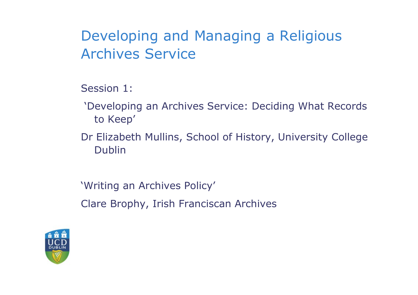#### Developing and Managing a Religious Archives Service

Session 1:

'Developing an Archives Service: Deciding What Records to Keep'

Dr Elizabeth Mullins, School of History, University College Dublin

'Writing an Archives Policy' Clare Brophy, Irish Franciscan Archives

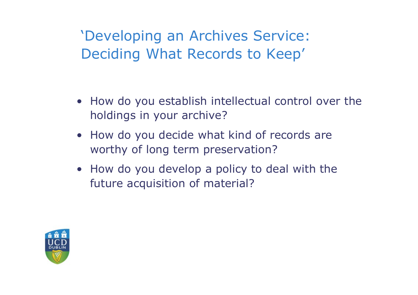'Developing an Archives Service: Deciding What Records to Keep' \*Developing an Archives Service:<br>Deciding What Records to Keep\*<br>• How do you establish intellectual control over the<br>holdings in your archive? • Developing an Archives Service:<br>
Deciding What Records to Keep'<br>
• How do you establish intellectual control over the<br>
holdings in your archive?<br>
• How do you decide what kind of records are<br>
worthy of long term preserva

- holdings in your archive? • How do you establish intellectual control over the<br>
• How do you establish intellectual control over the<br>
• How do you decide what kind of records are<br>
• Work who you develop a policy to deal with the<br>
• How do you devel
- worthy of long term preservation?
- future acquisition of material?

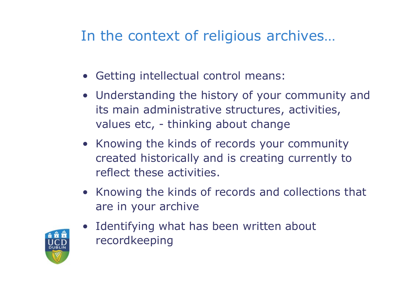#### In the context of religious archives…

- 
- In the context of religious archives...<br>• Getting intellectual control means:<br>• Understanding the history of your community a In the context of religious archives...<br>• Getting intellectual control means:<br>• Understanding the history of your community and<br>its main administrative structures, activities,<br>values etc. - thinking about change its main administrative structures, activities, the context of religious archives...<br>
Getting intellectual control means:<br>
Understanding the history of your community and<br>
its main administrative structures, activities,<br>
values etc, - thinking about change<br>
Knowing the In the context of religious archives...<br>
• Getting intellectual control means:<br>
• Understanding the history of your community and<br>
its main administrative structures, activities,<br>
values etc, - thinking about change<br>
• Kno • Getting intellectual control means:<br>
• Understanding the history of your community and<br>
its main administrative structures, activities,<br>
values etc, - thinking about change<br>
• Knowing the kinds of records your community<br>
- created historically and is creating currently to reflect these activities. • Onderstanding the mistory of your community and<br>its main administrative structures, activities,<br>values etc, - thinking about change<br>• Knowing the kinds of records your community<br>created historically and is creating curre
- are in your archive



recordkeeping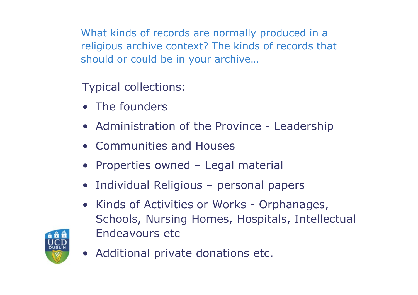What kinds of records are normally produced in a religious archive context? The kinds of records that should or could be in your archive… What kinds of records are normally<br>
religious archive context? The kinds<br>
should or could be in your archive...<br>
Typical collections:<br>
• The founders<br>
• Administration of the Province What kinds of records are normally produced in a<br>religious archive context? The kinds of records that<br>should or could be in your archive...<br>Typical collections:<br>• The founders<br>• Administration of the Province - Leadership<br> What kinds of records are normally produced in<br>
religious archive context? The kinds of records<br>
should or could be in your archive...<br>
Typical collections:<br>
• The founders<br>
• Administration of the Province - Leaders<br>
• Co From the same of Federal and Merkinsh produced in a<br>Freligious archive context? The kinds of records that<br>should or could be in your archive...<br>Typical collections:<br>• The founders<br>• Administration of the Province - Leaders

Typical collections:

- 
- 
- 
- 
- 
- Fypical collections:<br>
 The founders<br>
 Administration of the Province Leadership<br>
 Communities and Houses<br>
 Properties owned Legal material<br>
 Individual Religious personal papers<br>
 Kinds of Activities or Works -Fypical collections:<br>
• The founders<br>
• Administration of the Province - Leadership<br>
• Communities and Houses<br>
• Properties owned – Legal material<br>
• Individual Religious – personal papers<br>
• Kinds of Activities or Works -Schools, Nursing Homes, Hospitals, Intellectual Endeavours etc • Administration of the Province -<br>• Communities and Houses<br>• Properties owned – Legal materi<br>• Individual Religious – personal p<br>• Kinds of Activities or Works - Or<br>Schools, Nursing Homes, Hospita<br>Endeavours etc<br>• Additio

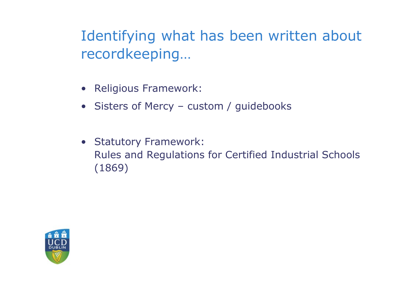Identifying what has been written about recordkeeping… Identifying what has beer<br>
recordkeeping...<br>• Religious Framework:<br>• Sisters of Mercy – custom / guide Identifying what has been written about<br>• Religious Framework:<br>• Sisters of Mercy – custom / guidebooks

- 
- 
- Identifying what has been v<br>
recordkeeping...<br>
 Religious Framework:<br>
 Sisters of Mercy custom / guidebo<br>
 Statutory Framework:<br>
Rules and Regulations for Certified I<br>
(1869) Rules and Regulations for Certified Industrial Schools (1869)

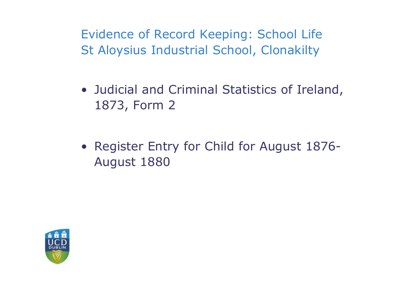Evidence of Record Keeping: School Life St Aloysius Industrial School, Clonakilty

- Fvidence of Record Keeping: School Life<br>St Aloysius Industrial School, Clonakilty<br>• Judicial and Criminal Statistics of Ireland,<br>1873, Form 2 1873, Form 2
- Fordence of Record Keeping: School Life<br>St Aloysius Industrial School, Clonakilty<br>• Judicial and Criminal Statistics of Ireland,<br>1873, Form 2<br>• Register Entry for Child for August 1876-<br>August 1880 August 1880

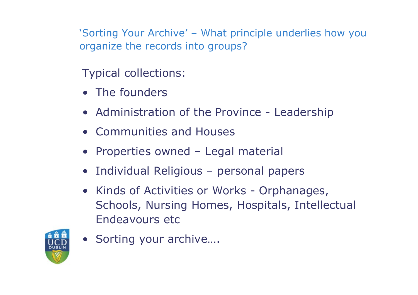'Sorting Your Archive' – What principle underlies how you organize the records into groups? Sorting Your Archive' – What princi<br>
Sorting Your Archive' – What princi<br>
Typical collections:<br>
• The founders<br>
• Administration of the Province Friend Your Archive' – What principle underlies how you<br>
riganize the records into groups?<br>
• The founders<br>
• Administration of the Province - Leadership<br>
• Communities and Houses Figure 1991 - Sorting Your Archive<br>
Fypical collections:<br>
Typical collections:<br>
• The founders<br>
• Administration of the Province - Leaders<br>
• Communities and Houses<br>
• Properties owned – Legal material Forting Your Archive' – What principle underlies how you<br>
Fypical collections:<br>
• The founders<br>
• Administration of the Province - Leadership<br>
• Communities and Houses<br>
• Properties owned – Legal material<br>
• Individual Rel

Typical collections:

- 
- 
- 
- 
- 
- Fypical collections:<br>
 The founders<br>
 Administration of the Province Leadership<br>
 Communities and Houses<br>
 Properties owned Legal material<br>
 Individual Religious personal papers<br>
 Kinds of Activities or Works -Fypical collections:<br>
• The founders<br>
• Administration of the Province - Leadership<br>
• Communities and Houses<br>
• Properties owned – Legal material<br>
• Individual Religious – personal papers<br>
• Kinds of Activities or Works -Schools, Nursing Homes, Hospitals, Intellectual Endeavours etc • Administration of the Province<br>• Communities and Houses<br>• Properties owned – Legal mat<br>• Individual Religious – persona<br>• Kinds of Activities or Works -<br>Schools, Nursing Homes, Hos<br>Endeavours etc<br>• Sorting your archive..

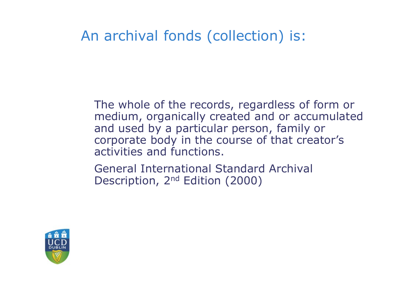# An archival fonds (collection) is:

The whole of the records, regardless of form or medium, organically created and or accumulated and used by a particular person, family or corporate body in the course of that creator's activities and functions.

General International Standard Archival Description, 2nd Edition (2000)

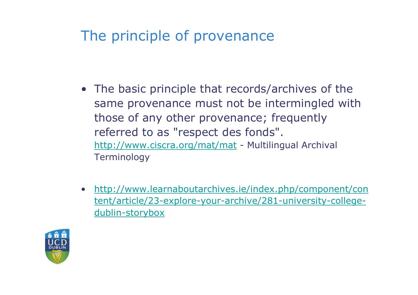#### The principle of provenance

- The principle of provenance<br>
 The basic principle that records/archives of the<br>
same provenance must not be intermingled with<br>
those of any other provenance: frequently same provenance must not be intermingled with those of any other provenance; frequently referred to as "respect des fonds". http://www.ciscra.org/mat/mathemations/archives-<br>The basic principle that records/archives of the<br>same provenance must not be intermingled with<br>those of any other provenance; frequently<br>referred to as "respect des fonds".<br> **Terminology**
- http://www.learnaboutarchives.ie/index.php/component/con tent/article/23-explore-your-archive/281-university-collegedublin-storybox

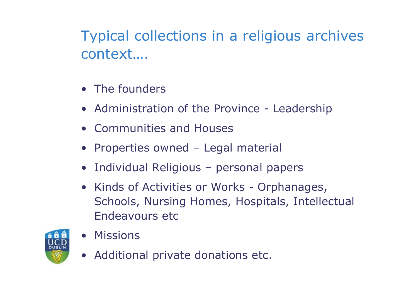Typical collections in a religious archives context…. Typical collections in a re<br>
context....<br>
• The founders<br>
• Administration of the Province Fypical collections in a religious archives<br>
context....<br>
• The founders<br>
• Administration of the Province - Leadership<br>
• Communities and Houses Fypical collections in a religious a<br>
context....<br>
• The founders<br>
• Administration of the Province - Leaders<br>
• Communities and Houses<br>
• Properties owned – Legal material Fypical collections in a religious archives<br>
• The founders<br>
• Administration of the Province - Leadership<br>
• Communities and Houses<br>
• Properties owned – Legal material<br>
• Individual Religious – personal papers • The founders<br>• The founders<br>• Administration of the Province - Leadership<br>• Communities and Houses<br>• Properties owned – Legal material<br>• Individual Religious – personal papers<br>• Kinds of Activities or Works - Orphanages,

- 
- 
- 
- 
- 
- The founders<br>• Administration of the Province Leadership<br>• Communities and Houses<br>• Properties owned Legal material<br>• Individual Religious personal papers<br>• Kinds of Activities or Works Orphanages,<br>Schools, Nursi Schools, Nursing Homes, Hospitals, Intellectual Endeavours etc • Administration of the Province<br>• Communities and Houses<br>• Properties owned – Legal mat<br>• Individual Religious – persona<br>• Kinds of Activities or Works -<br>Schools, Nursing Homes, Hos<br>Endeavours etc<br>• Missions<br>• Additional • Communities and Houses<br>• Properties owned – Legal materi<br>• Individual Religious – personal p<br>• Kinds of Activities or Works - Or<br>Schools, Nursing Homes, Hospita<br>Endeavours etc<br>• Missions<br>• Additional private donations et



- 
-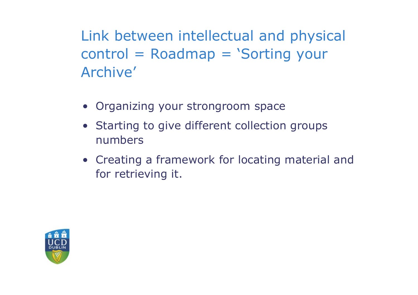Link between intellectual and physical control = Roadmap = 'Sorting your Archive' Link between intellectual and physical<br>control = Roadmap = 'Sorting your<br>Archive'<br>• Organizing your strongroom space<br>• Starting to give different collection groups Link between intellectual and physical<br>control = Roadmap = 'Sorting your<br>Archive'<br>• Organizing your strongroom space<br>• Starting to give different collection groups<br>numbers Link between intellectual and physical<br>
control = Roadmap = 'Sorting your<br>
Archive'<br>
• Organizing your strongroom space<br>
• Starting to give different collection groups<br>
numbers<br>
• Creating a framework for locating material

- 
- numbers
- for retrieving it.

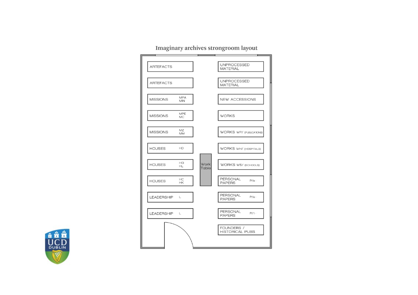Imaginary archives strongroom layout



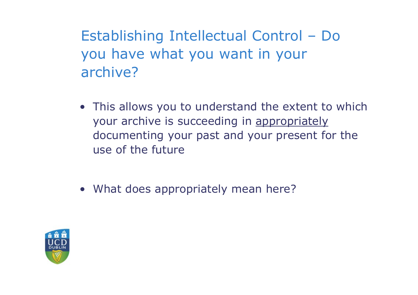Establishing Intellectual Control – Do<br>you have what you want in your you have what you want in your archive? **Establishing Intellectual Control – Do**<br>you have what you want in your<br>archive?<br>• This allows you to understand the extent to which<br>your archive is succeeding in <u>appropriately</u><br>documenting your past and your present for

- your archive is succeeding in appropriately documenting your past and your present for the use of the future • This allows you to understand the ex<br>
your archive is succeeding in <u>appropr</u><br>
documenting your past and your pres<br>
use of the future<br>
• What does appropriately mean here?
- 

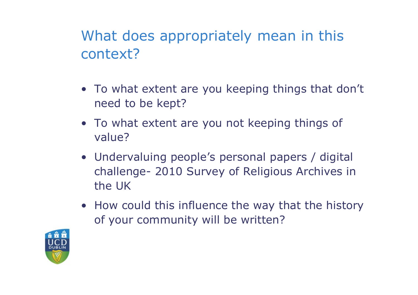# What does appropriately mean in this context? What does appropriately mean in this<br>
context?<br>
• To what extent are you keeping things that don't<br>
need to be kept?<br>
To what extent are you not looking things of What does appropriately mean in this<br>
context?<br>
• To what extent are you keeping things that don't<br>
• To what extent are you not keeping things of<br>
value?

- need to be kept?
- value?
- What does appropriately mean in this<br>
context?<br>
 To what extent are you keeping things that don't<br>
need to be kept?<br>
 To what extent are you not keeping things of<br>
value?<br>
 Undervaluing people's personal papers / digita mtext?<br>To what extent are you keeping things that don't<br>need to be kept?<br>To what extent are you not keeping things of<br>value?<br>Undervaluing people's personal papers / digital<br>challenge- 2010 Survey of Religious Archives in<br>t the UK • To what extent are you keeping things that don't<br>
need to be kept?<br>
• To what extent are you not keeping things of<br>
• Undervaluing people's personal papers / digital<br>
challenge- 2010 Survey of Religious Archives in<br>
the
- of your community will be written?

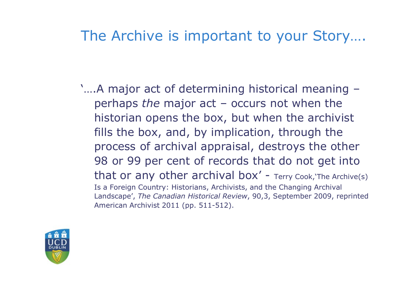#### The Archive is important to your Story….

'….A major act of determining historical meaning – ne Archive is important to your Story....<br>The major act of determining historical meaning –<br>perhaps *the* major act – occurs not when the<br>historian opens the box, but when the archivist<br>fills the box, and, by implication, historian opens the box, but when the archivist fills the box, and, by implication, through the process of archival appraisal, destroys the other 98 or 99 per cent of records that do not get into that or any other archival box' -  $T$ erry Cook, The Archive(s) Is a Foreign Country: Historians, Archivists, and the Changing Archival Landscape', The Canadian Historical Review, 90,3, September 2009, reprinted American Archivist 2011 (pp. 511-512).

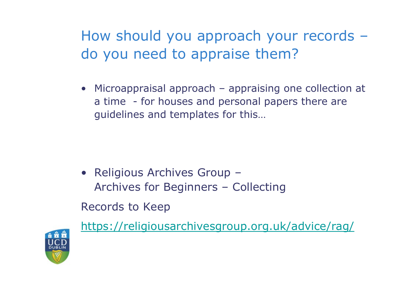How should you approach your records – do you need to appraise them?

- How should you approach your records<br>
 do you need to appraise them?<br>
 Microappraisal approach appraising one collection at<br>
 a time for houses and personal papers there are<br>
guidelines and templates for this... a time of your should you approach your records<br>
by you need to appraise them?<br>
Microappraisal approach – appraising one collection at<br>
a time – for houses and personal papers there are<br>
guidelines and templates for this.. guidelines and templates for this… do you need to appraise them?<br>
• Microappraisal approach – appraising one collect<br>
a time - for houses and personal papers there a<br>
guidelines and templates for this...<br>
• Religious Archives Group –<br>
Archives for Beginners Microappraisal approach – appraising one collection at<br>a time – for houses and personal papers there are<br>guidelines and templates for this...<br>Religious Archives Group –<br>Archives for Beginners – Collecting<br>cords to Keep
- 

Records to Keep

https://religiousarchivesgroup.org.uk/advice/rag/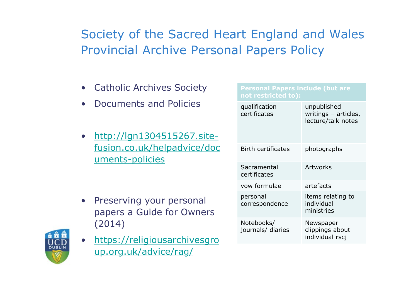## Society of the Sacred Heart England and Wales Provincial Archive Personal Papers Policy **Society of the Sacred Heart En<br>Provincial Archive Personal Pap<br>• Catholic Archives Society**<br>• Documents and Policies Society of the Sacred Heart England<br>Provincial Archive Personal Paper<br>• Catholic Archives Society<br>• Documents and Policies<br>• Notes Contract Policies<br>• Notes (Unable 15267 site

- 
- 
- http://lgn1304515267.sitefusion.co.uk/helpadvice/doc uments-policies • Catholic Archives Society<br>
• Documents and Policies<br>
• http://lgn1304515267.site-<br>
fusion.co.uk/helpadvice/doc<br>
uments-policies<br>
• sacram certifica<br>
uments-policies<br>
• Sacram certifica<br>
vow for<br>
• Preserving your persona
- papers a Guide for Owners (2014)



|                                                                | rt England and Wales                                      |
|----------------------------------------------------------------|-----------------------------------------------------------|
| Il Papers Policy                                               |                                                           |
|                                                                |                                                           |
| <b>Personal Papers include (but are</b><br>not restricted to): |                                                           |
| qualification<br>certificates                                  | unpublished<br>writings - articles,<br>lecture/talk notes |
| <b>Birth certificates</b>                                      | photographs                                               |
| Sacramental<br>certificates                                    | Artworks                                                  |
| vow formulae                                                   | artefacts                                                 |
| personal<br>correspondence                                     | items relating to<br>individual<br>ministries             |
| Notebooks/<br>journals/ diaries                                | Newspaper<br>clippings about<br>individual rscj           |
|                                                                |                                                           |

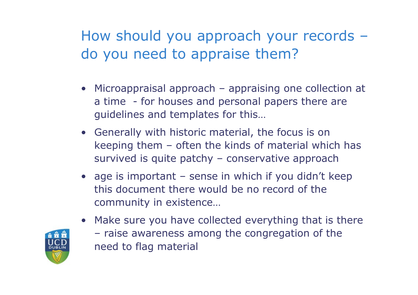How should you approach your records – do you need to appraise them?

- How should you approach your records<br>
 do you need to appraise them?<br>
 Microappraisal approach appraising one collection at<br>
 a time for houses and personal papers there are<br>
guidelines and templates for this... a time of the personal paper of the personal paper of the personal papers there are guidelines and templates for this...<br>The personal papers there are guidelines and templates for this... guidelines and templates for this… • How should you approach your records<br>
• do you need to appraise them?<br>
• Microappraisal approach – appraising one collection at<br>
• a time – for houses and personal papers there are<br>
• Generally with historic material, th by the should you approach your records –<br>
by you need to appraise them?<br>
Microappraisal approach – appraising one collection at<br>
a time – for houses and personal papers there are<br>
guidelines and templates for this...<br>
Gen by the patch of the network of the network of the network of the network of the network of the network of the survived is and templates for this...<br>
Senerally with historic material, the focus is on<br>
keeping them – often t **•** Microappraisal approach – appraising one collection at<br>
• Microappraisal approach – appraising one collection at<br>
• a time - for houses and personal papers there are<br>
• Generally with historic material, the focus is on
- Hieroupprisial approach approach provided a time for houses and personal papers there are guidelines and templates for this...<br>• Generally with historic material, the focus is on keeping them often the kinds of mat defines and templates for this...<br>Generally with historic material, the focus is on<br>keeping them – often the kinds of material which has<br>survived is quite patchy – conservative approach<br>age is important – sense in which if
- this document there would be no record of the community in existence…



- - need to flag material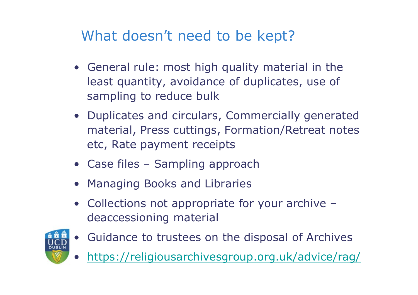What doesn't need to be kept?

- What doesn't need to be kept?<br>• General rule: most high quality material in the<br>least quantity, avoidance of duplicates, use of<br>sampling to reduce bulk least quantity, avoidance of duplicates, use of sampling to reduce bulk What doesn't need to be kept?<br>• General rule: most high quality material in the<br>least quantity, avoidance of duplicates, use of<br>sampling to reduce bulk<br>• Duplicates and circulars, Commercially generated<br>material, Press cut • General rule: most high quality material in t<br>
least quantity, avoidance of duplicates, use<br>
sampling to reduce bulk<br>
• Duplicates and circulars, Commercially gene<br>
material, Press cuttings, Formation/Retreat<br>
etc, Rate
- material, Press cuttings, Formation/Retreat notes etc, Rate payment receipts What doesn t need to be kept?<br>• General rule: most high quality material in the<br>least quantity, avoidance of duplicates, use of<br>sampling to reduce bulk<br>• Duplicates and circulars, Commercially generated<br>material, Press cut Frank dependence of duplicates, use of<br>
• Duplicates and circulars, Commercially generated<br>
• Duplicates and circulars, Commercially generated<br>
• Managing Pooks and Libraries<br>
• Case files – Sampling approach<br>
• Managing B • Duplicates and circulars, Commercially generated<br>
material, Press cuttings, Formation/Retreat notes<br>
etc, Rate payment receipts<br>
• Case files – Sampling approach<br>
• Managing Books and Libraries<br>
• Collections not appropr
- 
- 
- deaccessioning material



- 
- https://religiousarchivesgroup.org.uk/advice/rag/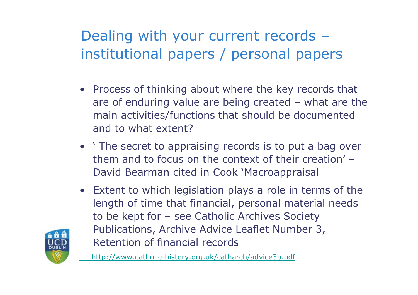#### Dealing with your current records – institutional papers / personal papers

- **Dealing with your current records −**<br>
institutional papers / personal papers<br>
 Process of thinking about where the key records that<br>
are of enduring value are being created what are the<br>
main activities/functions that ealing with your current records –<br>stitutional papers / personal papers<br>Process of thinking about where the key records that<br>are of enduring value are being created – what are the<br>main activities/functions that should be d main activities/functions that should be documented and to what extent? Dealing with your current records –<br>institutional papers / personal papers<br>• Process of thinking about where the key records that<br>are of enduring value are being created – what are the<br>main activities/functions that should stitutional papers / personal papers<br>Process of thinking about where the key records that<br>are of enduring value are being created – what are th<br>main activities/functions that should be documented<br>and to what extent?<br>The se • Process of thinking about where the key records that<br>are of enduring value are being created – what are the<br>main activities/functions that should be documented<br>and to what extent?<br>• `The secret to appraising records is t
- them and to focus on the context of their creation' –
- length of time that financial, personal material needs Process of thinking about where the key records that<br>are of enduring value are being created – what are the<br>main activities/functions that should be documented<br>and to what extent?<br>'The secret to appraising records is to pu Publications, Archive Advice Leaflet Number 3, Retention of financial records



http://www.catholic-history.org.uk/catharch/advice3b.pdf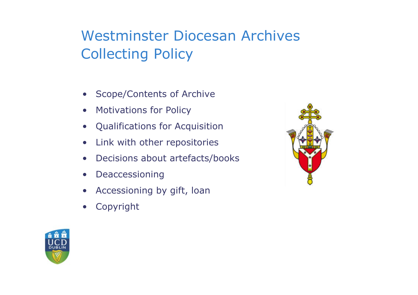## Westminster Diocesan Archives Collecting Policy Westminster Diocesan Archives<br>
Collecting Policy<br>
• Scope/Contents of Archive<br>
• Motivations for Policy<br>
• Qualifications for Acquisition Westminster Diocesan Archiv<br>
Collecting Policy<br>
• Scope/Contents of Archive<br>
• Motivations for Policy<br>
• Qualifications for Acquisition<br>
• Linkwith other repositation Westminster Diocesan Archives<br>
Collecting Policy<br>
• Scope/Contents of Archive<br>
• Motivations for Acquisition<br>
• Link with other repositories<br>
• Designe about artifacts/hacks Westminster Diocesan Archives<br>
Collecting Policy<br>
• Scope/Contents of Archive<br>
• Motivations for Policy<br>
• Qualifications for Acquisition<br>
• Link with other repositories<br>
• Decisions about artefacts/books<br>
• Pecescopiania Westminster Diocesan Archives<br>
Collecting Policy<br>
• Scope/Contents of Archive<br>
• Motivations for Policy<br>
• Qualifications for Acquisition<br>
• Link with other repositories<br>
• Decisions about artefacts/books<br>
• Deaccessioning **Collecting Policy<br>• Scope/Contents of Archive<br>• Motivations for Policy<br>• Qualifications for Acquisition<br>• Link with other repositories<br>• Decisions about artefacts/books<br>• Deaccessioning<br>• Accessioning by gift, loan**

- 
- 
- 
- 
- Scope/Contents of Archive<br>• Motivations for Policy<br>• Qualifications for Acquisition<br>• Link with other repositories<br>• Decisions about artefacts/books<br>• Deaccessioning<br>• Accessioning by gift, Ioan<br>• Copyright
- 
- 
- 



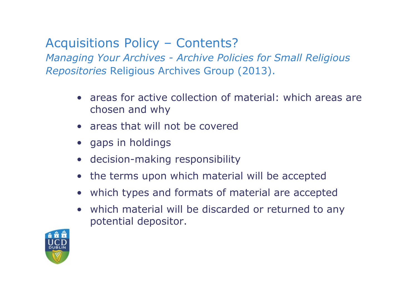Acquisitions Policy – Contents?<br>Managing Your Archives - Archive Policies for Small Religio<br>Repositories Religious Archives Group (2013). Acquisitions Policy – Contents?<br>Managing Your Archives - Archive Policies for Small Religious<br>Repositories Religious Archives Group (2013). Repositories Religious Archives Group (2013). vertistions Policy – Contents?<br>
Fing Your Archives - Archive Policies for Small Religious<br>
itories Religious Archives Group (2013).<br>
• areas for active collection of material: which areas are<br>
chosen and why<br>
• areas that Sistions Policy – Contents?<br>
Sing Your Archives - Archive Policies for Smartonies Religious Archives Group (2013).<br>
• areas for active collection of material: which<br>
encovered areas that will not be covered<br>
• gaps in hold Sistions Policy – Contents?<br>
Sing Your Archives - Archive Policies<br>
itories Religious Archives Group (20<br>
• areas for active collection of mat<br>
chosen and why<br>
• areas that will not be covered<br>
• gaps in holdings<br>
• decisi value of Smail Sistions Policy - Contents?<br>
Sing Your Archives - Archive Policies for Smail Singlian Archives Group (2013).<br>
• areas for active collection of material: which<br>
chosen and why<br>
• areas that will not be covere Final Your Archives - Archive Policies for Small Religious<br>
itories Religious Archives Group (2013).<br>
• areas for active collection of material: which areas are<br>
chosen and why<br>
• areas that will not be covered<br>
• gaps in

- chosen and why valid is a set of active collection of material: which areas are<br>
of areas for active collection of material: which areas are<br>
of the areas that will not be covered<br>
of apps in holdings<br>
of decision-making responsibility<br> • areas for active collection of material: which areas are<br>
chosen and why<br>
• areas that will not be covered<br>
• gaps in holdings<br>
• decision-making responsibility<br>
• the terms upon which material will be accepted<br>
• which
- 
- 
- 
- 
- 
- potential depositor.